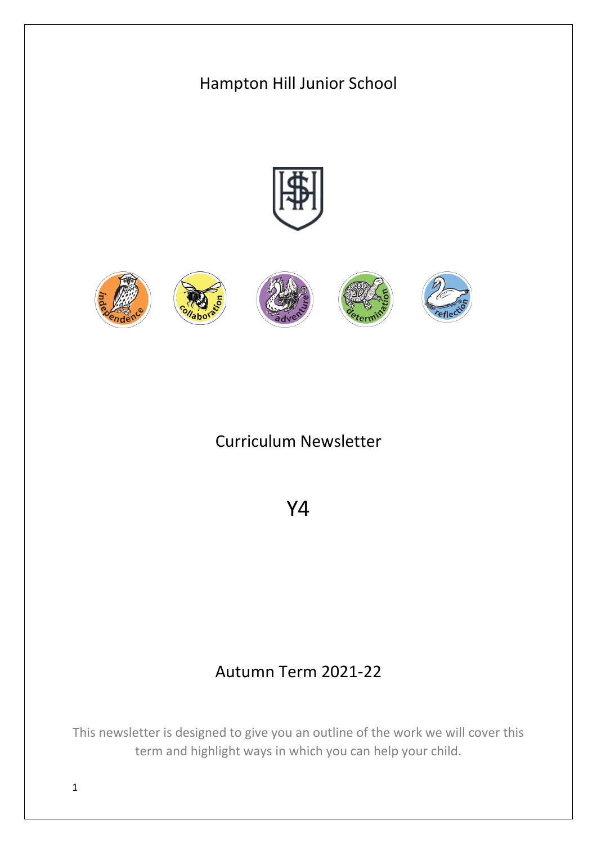

This newsletter is designed to give you an outline of the work we will cover this term and highlight ways in which you can help your child.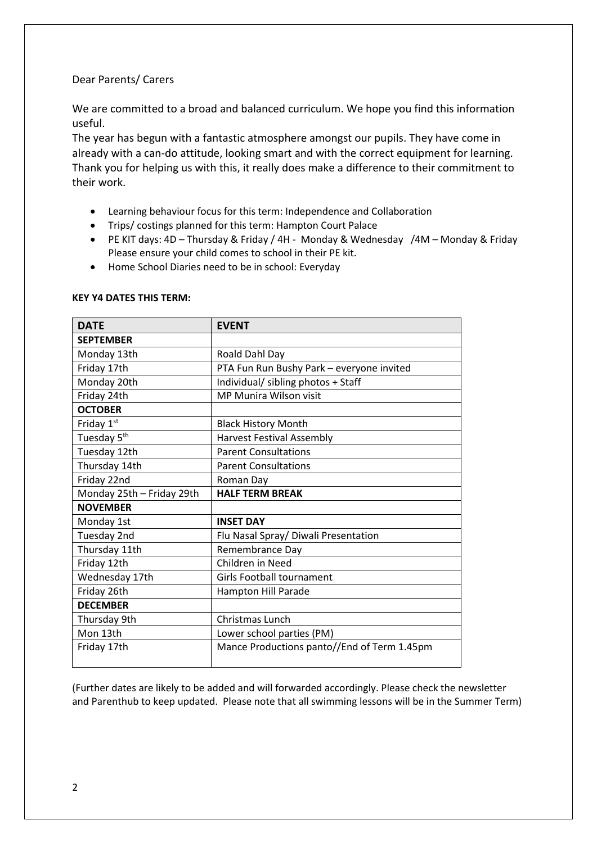## Dear Parents/ Carers

We are committed to a broad and balanced curriculum. We hope you find this information useful.

The year has begun with a fantastic atmosphere amongst our pupils. They have come in already with a can-do attitude, looking smart and with the correct equipment for learning. Thank you for helping us with this, it really does make a difference to their commitment to their work.

- Learning behaviour focus for this term: Independence and Collaboration
- Trips/ costings planned for this term: Hampton Court Palace
- PE KIT days: 4D Thursday & Friday / 4H Monday & Wednesday /4M Monday & Friday Please ensure your child comes to school in their PE kit.
- Home School Diaries need to be in school: Everyday

| <b>DATE</b>               | <b>EVENT</b>                                |
|---------------------------|---------------------------------------------|
| <b>SEPTEMBER</b>          |                                             |
| Monday 13th               | Roald Dahl Day                              |
| Friday 17th               | PTA Fun Run Bushy Park - everyone invited   |
| Monday 20th               | Individual/ sibling photos + Staff          |
| Friday 24th               | <b>MP Munira Wilson visit</b>               |
| <b>OCTOBER</b>            |                                             |
| Friday 1st                | <b>Black History Month</b>                  |
| Tuesday 5 <sup>th</sup>   | <b>Harvest Festival Assembly</b>            |
| Tuesday 12th              | <b>Parent Consultations</b>                 |
| Thursday 14th             | <b>Parent Consultations</b>                 |
| Friday 22nd               | Roman Day                                   |
| Monday 25th - Friday 29th | <b>HALF TERM BREAK</b>                      |
| <b>NOVEMBER</b>           |                                             |
| Monday 1st                | <b>INSET DAY</b>                            |
| Tuesday 2nd               | Flu Nasal Spray/ Diwali Presentation        |
| Thursday 11th             |                                             |
|                           | Remembrance Day                             |
| Friday 12th               | Children in Need                            |
| Wednesday 17th            | Girls Football tournament                   |
| Friday 26th               | Hampton Hill Parade                         |
| <b>DECEMBER</b>           |                                             |
| Thursday 9th              | <b>Christmas Lunch</b>                      |
| Mon 13th                  | Lower school parties (PM)                   |
| Friday 17th               | Mance Productions panto//End of Term 1.45pm |

## **KEY Y4 DATES THIS TERM:**

(Further dates are likely to be added and will forwarded accordingly. Please check the newsletter and Parenthub to keep updated. Please note that all swimming lessons will be in the Summer Term)